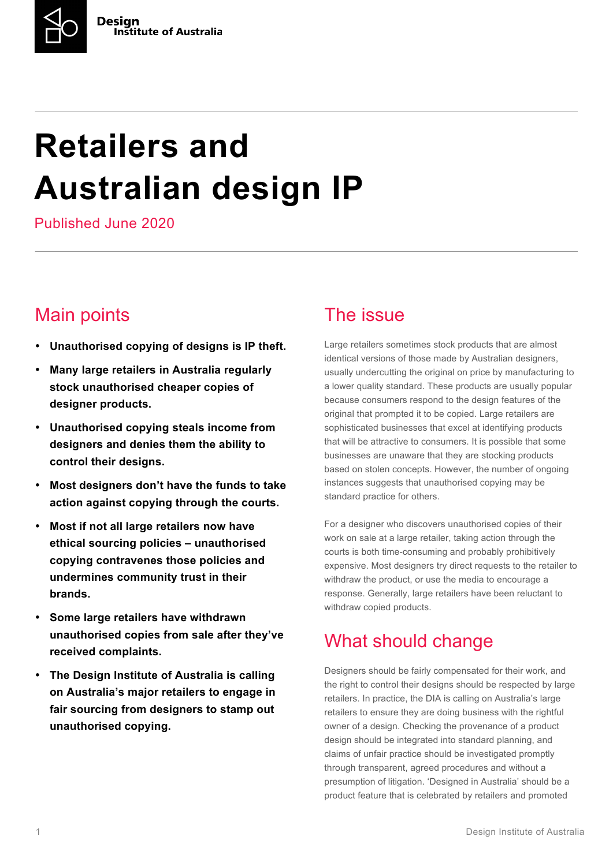# **Retailers and Australian design IP**

Published June 2020

# Main points

- **Unauthorised copying of designs is IP theft.**
- **Many large retailers in Australia regularly stock unauthorised cheaper copies of designer products.**
- **Unauthorised copying steals income from designers and denies them the ability to control their designs.**
- **Most designers don't have the funds to take action against copying through the courts.**
- **Most if not all large retailers now have ethical sourcing policies – unauthorised copying contravenes those policies and undermines community trust in their brands.**
- **Some large retailers have withdrawn unauthorised copies from sale after they've received complaints.**
- **The Design Institute of Australia is calling on Australia's major retailers to engage in fair sourcing from designers to stamp out unauthorised copying.**

#### The issue

Large retailers sometimes stock products that are almost identical versions of those made by Australian designers, usually undercutting the original on price by manufacturing to a lower quality standard. These products are usually popular because consumers respond to the design features of the original that prompted it to be copied. Large retailers are sophisticated businesses that excel at identifying products that will be attractive to consumers. It is possible that some businesses are unaware that they are stocking products based on stolen concepts. However, the number of ongoing instances suggests that unauthorised copying may be standard practice for others.

For a designer who discovers unauthorised copies of their work on sale at a large retailer, taking action through the courts is both time-consuming and probably prohibitively expensive. Most designers try direct requests to the retailer to withdraw the product, or use the media to encourage a response. Generally, large retailers have been reluctant to withdraw copied products.

# What should change

Designers should be fairly compensated for their work, and the right to control their designs should be respected by large retailers. In practice, the DIA is calling on Australia's large retailers to ensure they are doing business with the rightful owner of a design. Checking the provenance of a product design should be integrated into standard planning, and claims of unfair practice should be investigated promptly through transparent, agreed procedures and without a presumption of litigation. 'Designed in Australia' should be a product feature that is celebrated by retailers and promoted